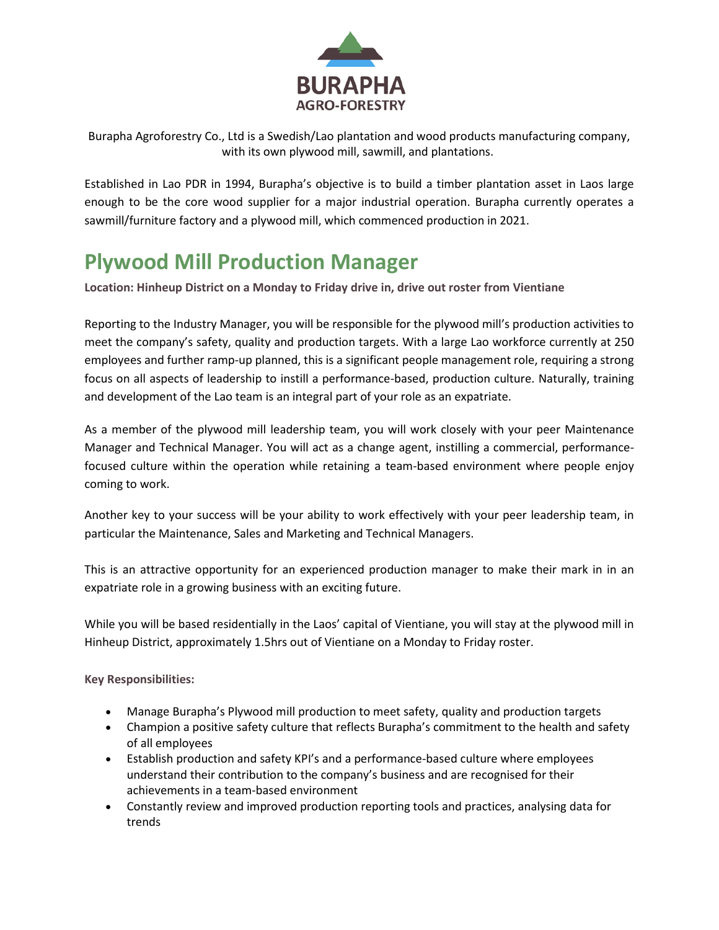

Burapha Agroforestry Co., Ltd is a Swedish/Lao plantation and wood products manufacturing company, with its own plywood mill, sawmill, and plantations.

Established in Lao PDR in 1994, Burapha's objective is to build a timber plantation asset in Laos large enough to be the core wood supplier for a major industrial operation. Burapha currently operates a sawmill/furniture factory and a plywood mill, which commenced production in 2021.

## **Plywood Mill Production Manager**

**Location: Hinheup District on a Monday to Friday drive in, drive out roster from Vientiane**

Reporting to the Industry Manager, you will be responsible for the plywood mill's production activities to meet the company's safety, quality and production targets. With a large Lao workforce currently at 250 employees and further ramp-up planned, this is a significant people management role, requiring a strong focus on all aspects of leadership to instill a performance-based, production culture. Naturally, training and development of the Lao team is an integral part of your role as an expatriate.

As a member of the plywood mill leadership team, you will work closely with your peer Maintenance Manager and Technical Manager. You will act as a change agent, instilling a commercial, performancefocused culture within the operation while retaining a team-based environment where people enjoy coming to work.

Another key to your success will be your ability to work effectively with your peer leadership team, in particular the Maintenance, Sales and Marketing and Technical Managers.

This is an attractive opportunity for an experienced production manager to make their mark in in an expatriate role in a growing business with an exciting future.

While you will be based residentially in the Laos' capital of Vientiane, you will stay at the plywood mill in Hinheup District, approximately 1.5hrs out of Vientiane on a Monday to Friday roster.

**Key Responsibilities:**

- Manage Burapha's Plywood mill production to meet safety, quality and production targets
- Champion a positive safety culture that reflects Burapha's commitment to the health and safety of all employees
- Establish production and safety KPI's and a performance-based culture where employees understand their contribution to the company's business and are recognised for their achievements in a team-based environment
- Constantly review and improved production reporting tools and practices, analysing data for trends